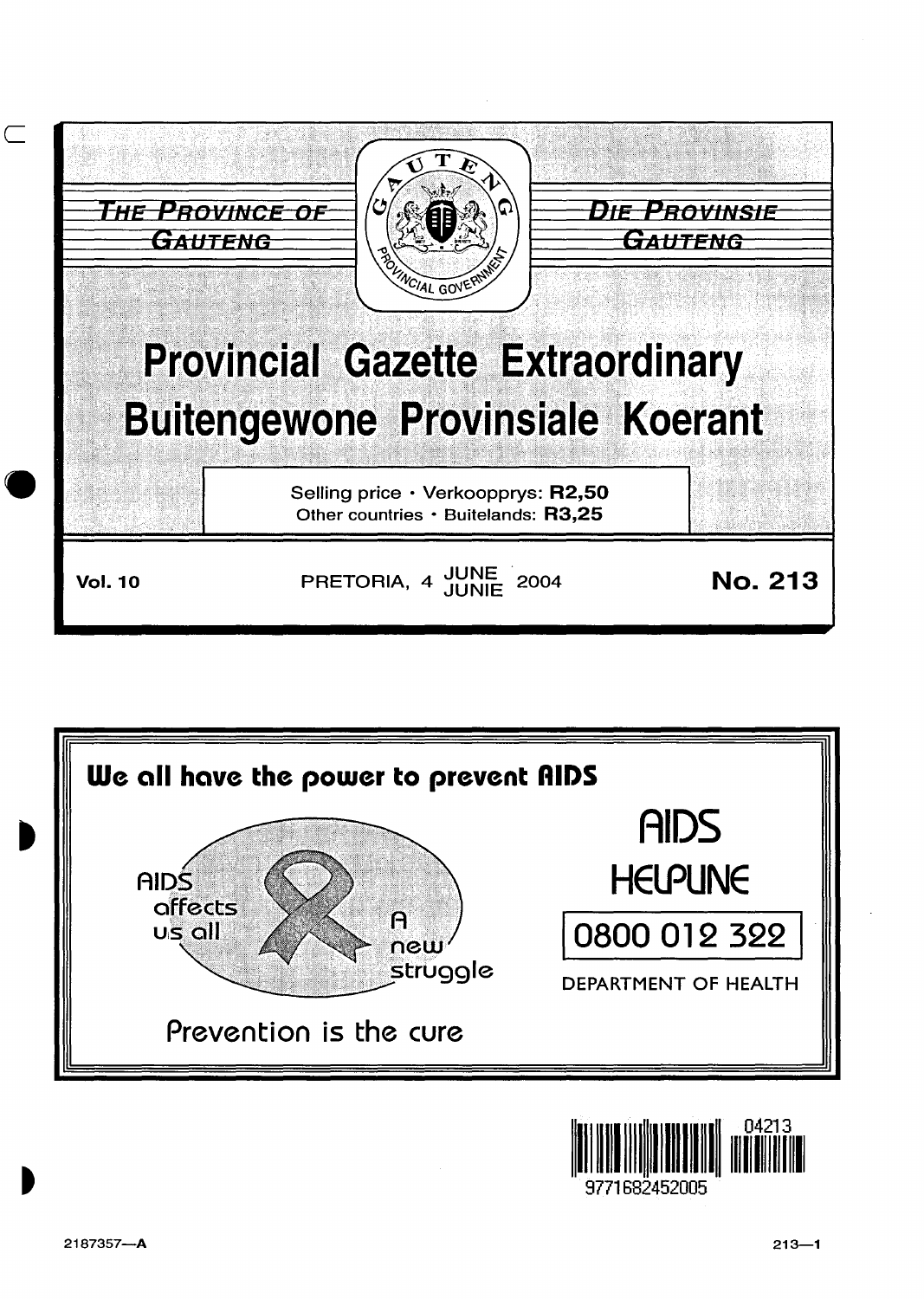



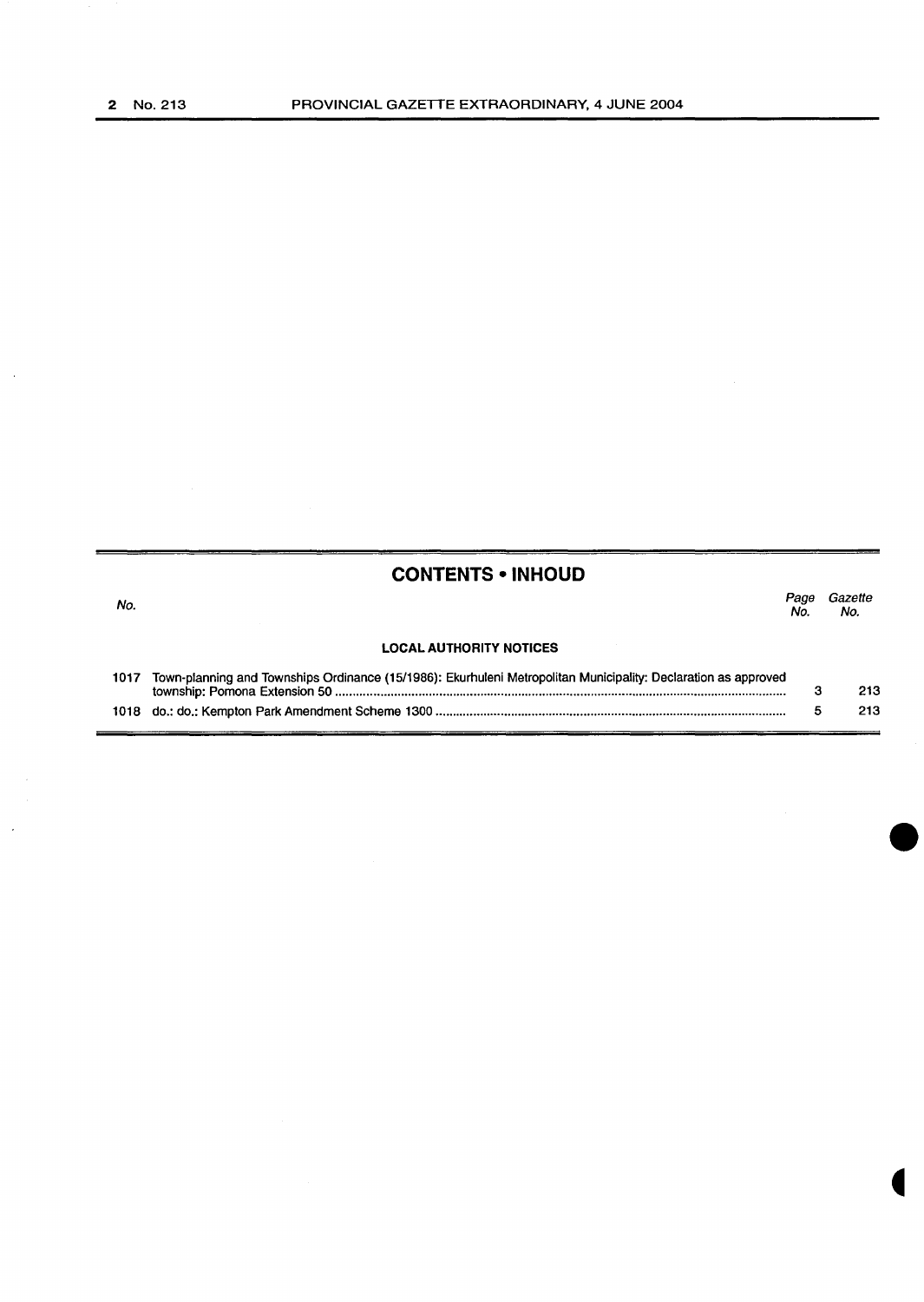No.

l,

### **CONTENTS • INHOUD**

*Page Gazette*  No. No.

#### **LOCAL AUTHORITY NOTICES**

| 1017 Town-planning and Townships Ordinance (15/1986): Ekurhuleni Metropolitan Municipality: Declaration as approved |     |
|---------------------------------------------------------------------------------------------------------------------|-----|
|                                                                                                                     | 213 |
|                                                                                                                     | 213 |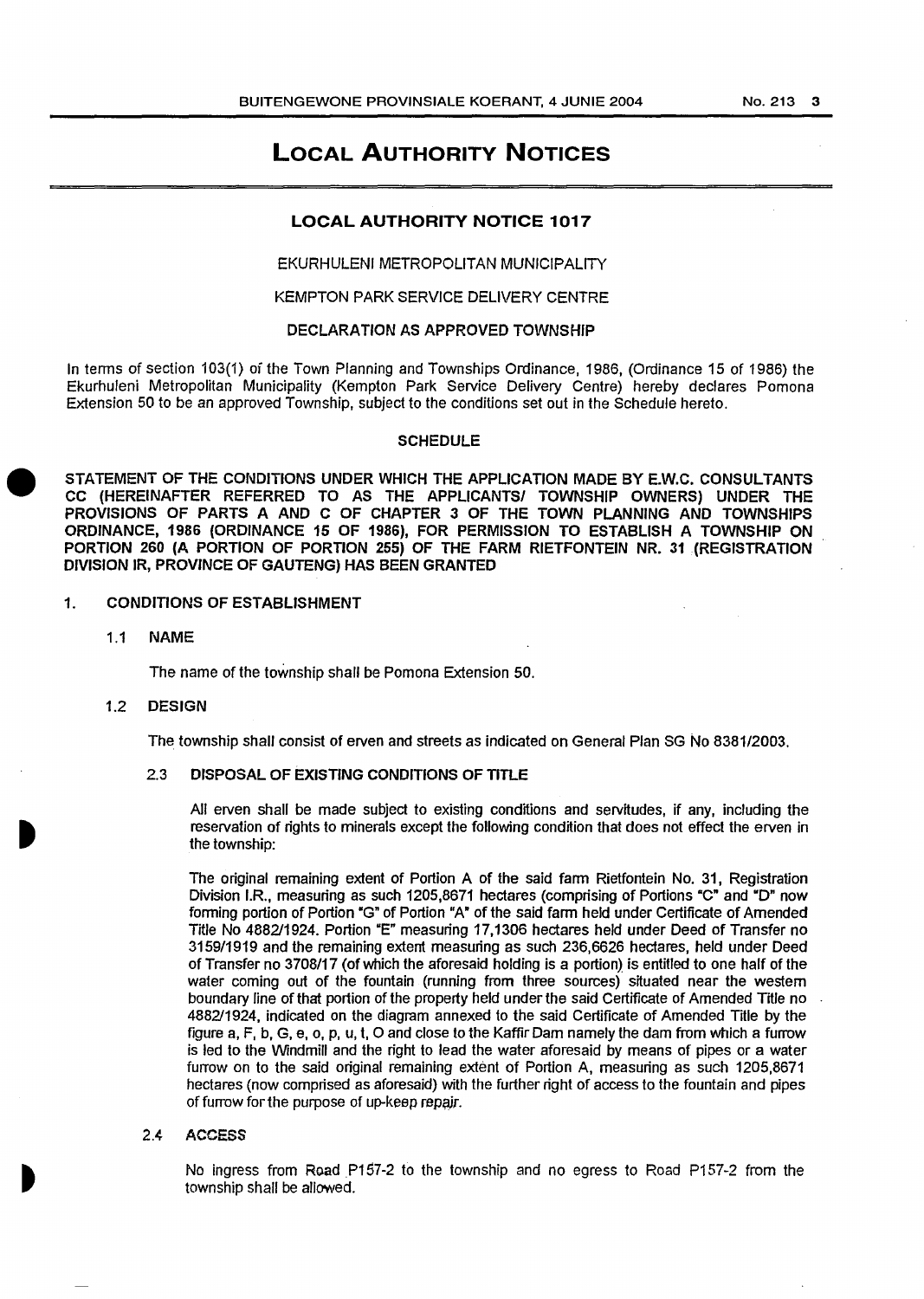### **LOCAL AUTHORITY NOTICES**

#### **LOCAL AUTHORITY NOTICE 1017**

EKURHULENI METROPOLITAN MUNICIPALITY

#### KEMPTON PARK SERVICE DELIVERY CENTRE

#### DECLARATION AS APPROVED TOWNSHIP

In terms of section 103(1) of the Town Planning and Townships Ordinance, 1986, (Ordinance 15 of 1986) the Ekurhuleni Metropolitan Municipality (Kempton Park Service Delivery Centre) hereby declares Pomona Extension 50 to be an approved Township, subject to the conditions set out in the Schedule hereto.

#### SCHEDULE

STATEMENT OF THE CONDITIONS UNDER WHICH THE APPLICATION MADE BY E.W.C. CONSULTANTS CC (HEREINAFTER REFERRED TO AS THE APPLICANTS/ TOWNSHIP OWNERS) UNDER THE PROVISIONS OF PARTS A AND C OF CHAPTER 3 OF THE TOWN PLANNING AND TOWNSHIPS ORDINANCE, 1986 (ORDINANCE 15 OF 1986), FOR PERMISSION TO ESTABLISH A TOWNSHIP ON PORTION 260 (A PORTION OF PORTION 255) OF THE FARM RIETFONTEIN NR. 31 (REGISTRATION DNISION IR, PROVINCE OF GAUTENG) HAS BEEN GRANTED

#### 1. CONDITIONS OF ESTABLISHMENT

1.1 NAME

The name of the township shall be Pomona Extension 50.

#### 1.2 DESIGN

The township shall consist of erven and streets as indicated on General Plan SG No 8381/2003.

#### 2.3 DISPOSAL OF EXISTING CONDITIONS OF TITLE

All erven shall be made subject to existing conditions and servitudes, if any, including the reservation of rights to minerals except the following condition that does not effect the erven in the township:

The original remaining extent of Portion A of the said farm Rietfontein No. 31, Registration Division I.R., measuring as such 1205,8671 hectares (comprising of Portions "C" and "D" now forming portion of Portion "G" of Portion "A" of the said farm held under Certificate of Amended Title No 4882/1924. Portion "E" measuring 17,1306 hectares held under Deed of Transfer no 3159/1919 and the remaining extent measuring as such 236,6626 hectares, held under Deed of Transfer no 3708/17 (of which the aforesaid holding is a portion) is entitled to one half of the water coming out of the fountain (running from three sources) situated near the western boundary line of that portion of the property held under the said Certificate of Amended Title no 4882/1924, indicated on the diagram annexed to the said Certificate of Amended Title by the figure a, F, b, G, e, o, p, u, t, 0 and close to the Kaffir Dam namely the dam from which a furrow is led to the Windmill and the right to lead the water aforesaid by means of pipes or a water furrow on to the said original remaining extent of Portion A, measuring as such 1205,8671 hectares (now comprised as aforesaid) with the further right of access to the fountain and pipes of furrow for the purpose of up-keep repair.

#### 2.4 ACCESS

No ingress from Road P157-2 to the township and no egress to Road P157-2 from the township shall be allowed.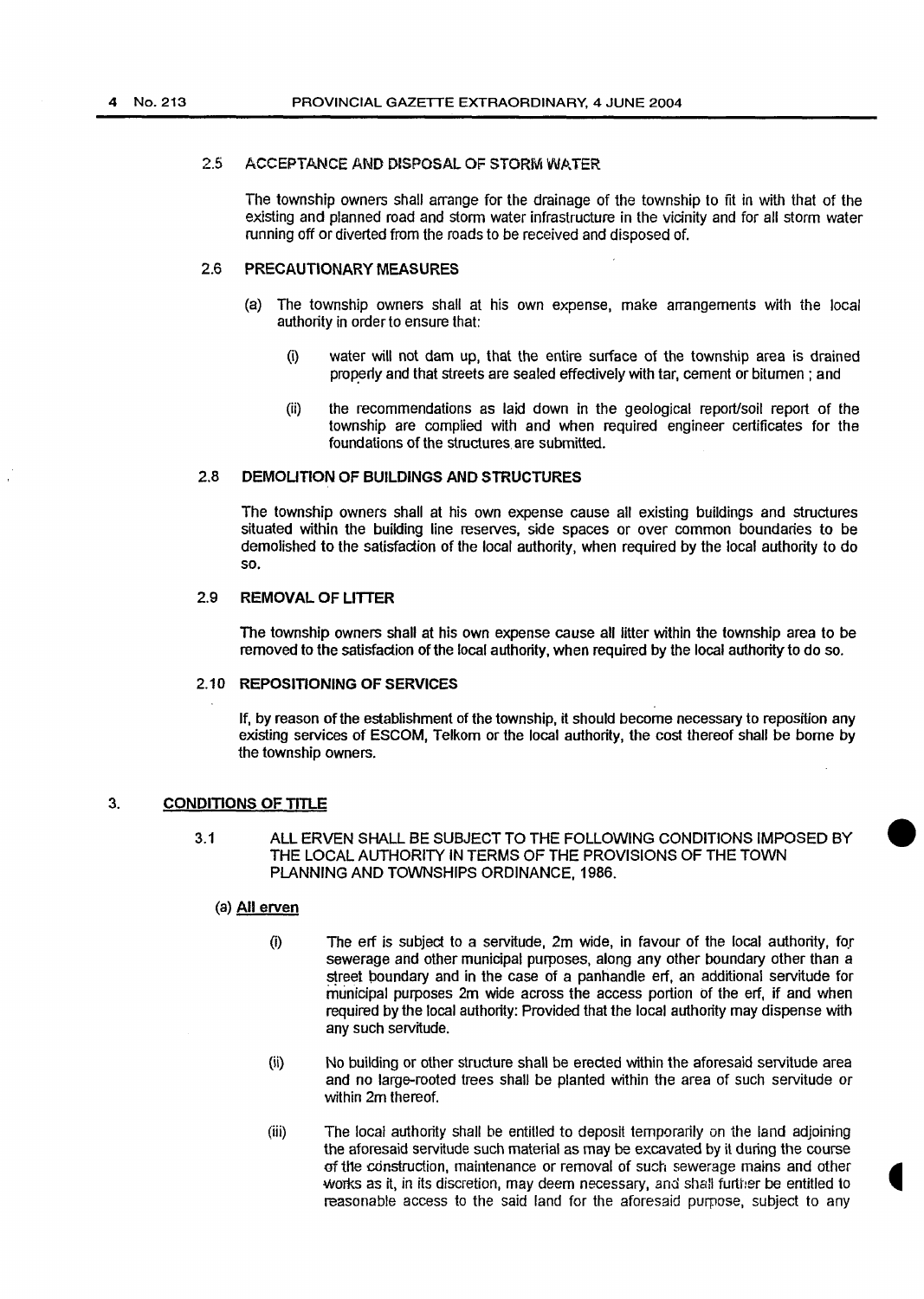#### 2.5 ACCEPTANCE AND DISPOSAL OF STORM WATER

The township owners shall arrange for the drainage of the township to fit in with that of the existing and planned road and storm water infrastructure in the vicinity and for all storm water running off or diverted from the roads to be received and disposed of.

#### 2.6 PRECAUTIONARY MEASURES

- (a) The township owners shall at his own expense, make arrangements with the local authority in order to ensure that:
	- (i) water will not dam up, that the entire surface of the township area is drained properly and that streets are sealed effectively with tar, cement or bitumen; and
	- (ii) the recommendations as laid down in the geological report/soil report of the township are complied with and when required engineer certificates for the foundations of the structures. are submitted.

#### 2.8 DEMOLITION OF BUILDINGS AND STRUCTURES

The township owners shall at his own expense cause all existing buildings and structures situated within the building line reserves, side spaces or over common boundaries to be demolished to the satisfaction of the local authority, when required by the local authority to do so.

#### 2.9 REMOVAL OF LITTER

The township owners shall at his own expense cause all litter within the township area to be removed to the satisfaction of the local authority, when required by the local authority to do so.

#### 2.10 REPOSITIONING OF SERVICES

If, by reason of the establishment of the township, it should become necessary to reposition any existing services of ESCOM, Telkom or the local authority, the cost thereof shall be borne by the township owners.

#### 3. CONDITIONS OF TITLE

3.1 ALL ERVEN SHALL BE SUBJECT TO THE FOLLOWING CONDITIONS IMPOSED BY THE LOCAL AUTHORITY IN TERMS OF THE PROVISIONS OF THE TOWN PlANNING AND TOWNSHIPS ORDINANCE, 1986.

#### (a) All erven

- $(i)$  The erf is subject to a servitude, 2m wide, in favour of the local authority, for sewerage and other municipal purposes, along any other boundary other than a street poundary and in the case of a panhandle erf, an additional servitude for municipal purposes 2m wide across the access portion of the erf, if and when required by the local authority: Provided that the local authority may dispense with any such servitude.
- (ii) No building or other structure shall be erected within the aforesaid servitude area and no large-rooted trees shall be planted within the area of such servitude or within 2m thereof.
- (iii) The local authority shall be entitled to deposit temporarily on the land adjoining the aforesaid servitude such material as may be excavated by it during the course of tl1e cdnstruction, maintenance or removal of such sewerage mains and other works as it, in its discretion, may deem necessary, and shall further be entitled to reasonable access to the said land for the aforesaid purpose, subject to any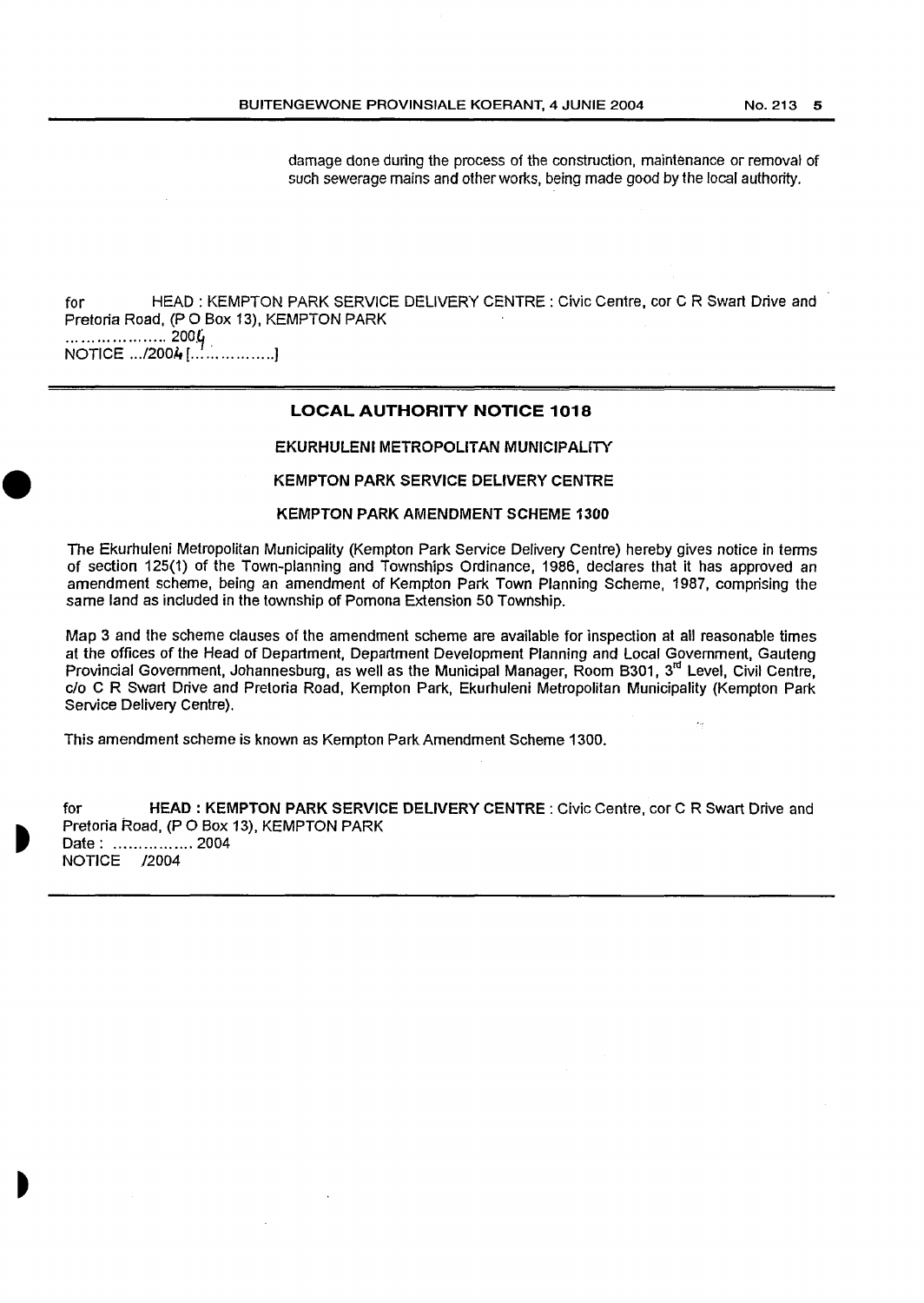damage done during the process of the construction, maintenance or removal of such sewerage mains and other works, being made good by the local authority.

for HEAD : KEMPTON PARK SERVICE DELIVERY CENTRE : Civic Centre, cor C R Swart Drive and Pretoria Road, (P 0 Box 13), KEMPTON PARK ···················· 200.~. NOTICE .. ./200,l, [ ................. ]

#### **LOCAL AUTHORITY NOTICE 1018**

#### EKURHULENI METROPOLITAN MUNICIPALITY

#### KEMPTON PARK SERVICE DELIVERY CENTRE

#### KEMPTON PARK AMENDMENT SCHEME 1300

The Ekurhuleni Metropolitan Municipality (Kempton Park Service Delivery Centre) hereby gives notice in terms of section 125(1) of the Town-planning and Townships Ordinance, 1986, declares that it has approved an amendment scheme, being an amendment of Kempton Park Town Planning Scheme, 1987, comprising the same land as included in the township of Pomona Extension 50 Township.

Map 3 and the scheme clauses of the amendment scheme are available for Inspection at all reasonable times at the offices of the Head of Department, Department Development Planning and Local Government, Gauteng Provincial Government, Johannesburg, as well as the Municipal Manager, Room B301,  $3<sup>rd</sup>$  Level, Civil Centre, c/o C R Swart Drive and Pretoria Road, Kempton Park, Ekurhuleni Metropolitan Municipality (Kempton Park Service Delivery Centre).

This amendment scheme is known as Kempton Park Amendment Scheme 1300.

for HEAD : KEMPTON PARK SERVICE DELIVERY CENTRE : Civic Centre, cor C R Swart Drive and Pretoria Road, (P 0 Box 13), KEMPTON PARK Date: ................ 2004 NOTICE /2004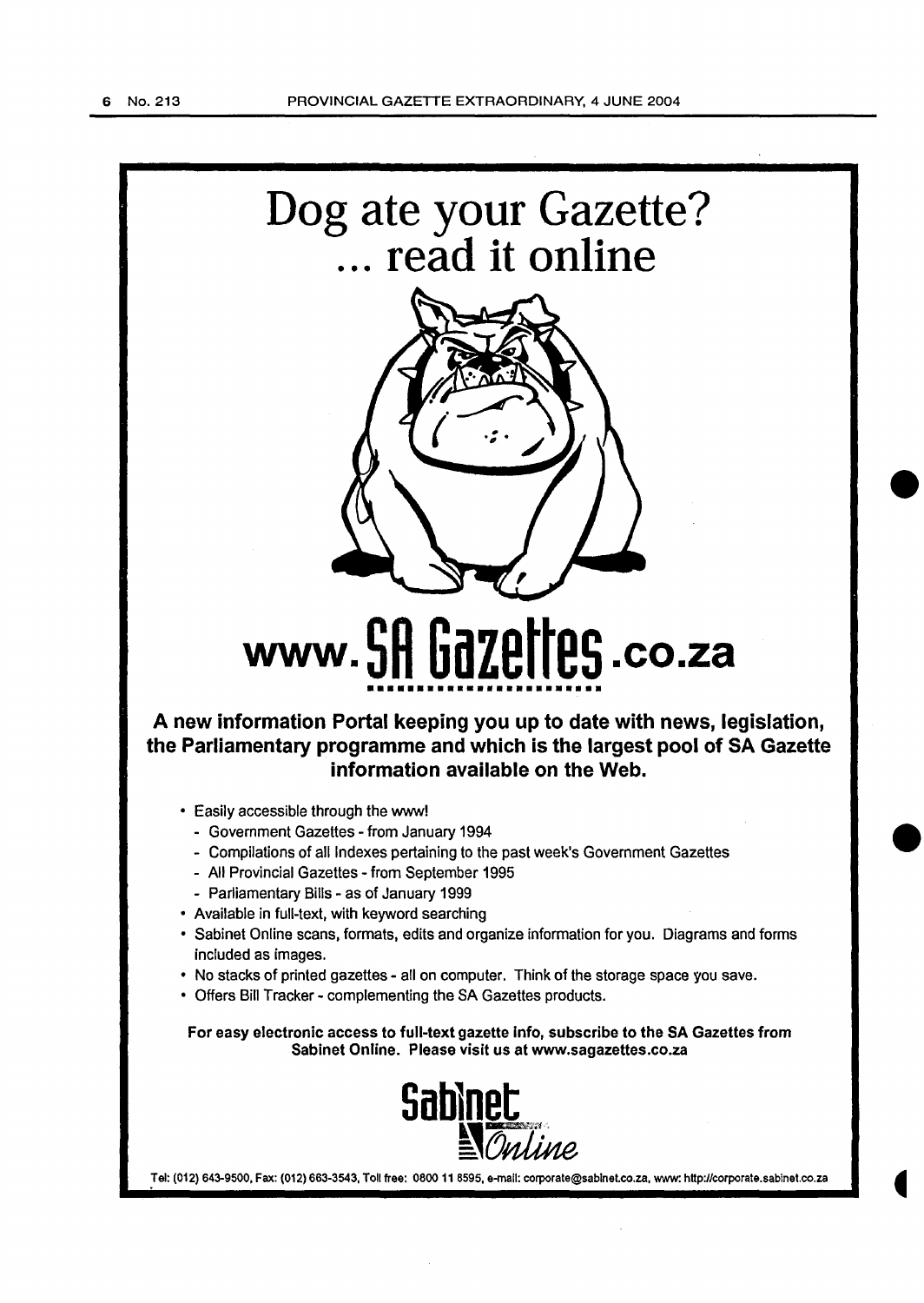

• Offers Bill Tracker- complementing the SA Gazettes products.

For easy electronic access to full-text gazette info, subscribe to the SA Gazettes from Sabinet Online. Please visit us at www.sagazettes.co.za



Tel: (012) 643-9500, Fax: (012) 663-3543, Toll free: 0800 11 8595, e-mail: corporate@sablnet.co.za, www: http://corporate.sabinet.co.za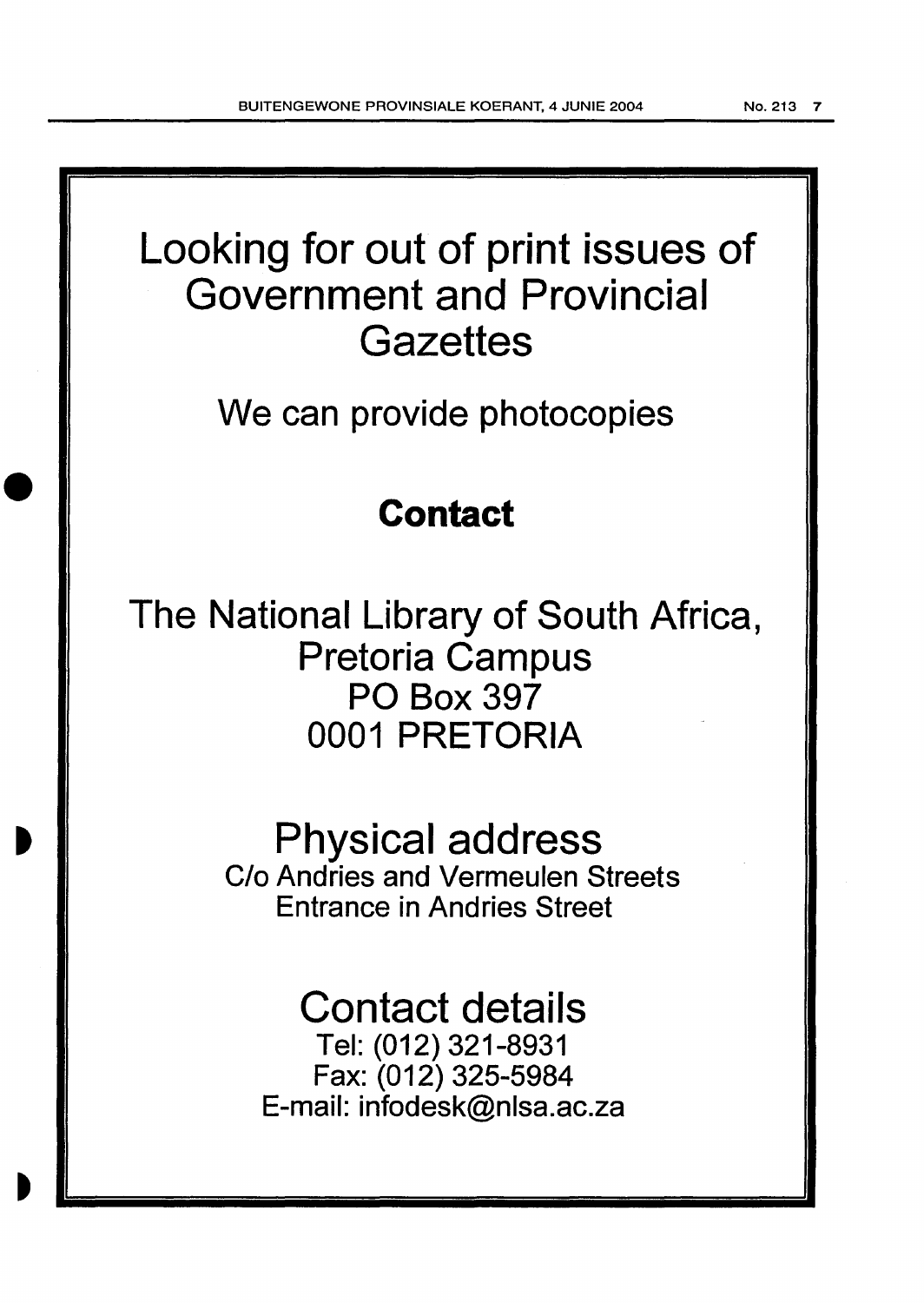## Looking for out of print issues of Government and Provincial **Gazettes**

We can provide photocopies

## **Contact**

The National Library of South Africa, Pretoria Campus PO Box 397 0001 PRETORIA

> Physical address C/o Andries and Vermeulen Streets Entrance in Andries Street

# Contact details

Tel: (012)321-8931 Fax: (012) 325-5984 E-mail: infodesk@nlsa.ac.za